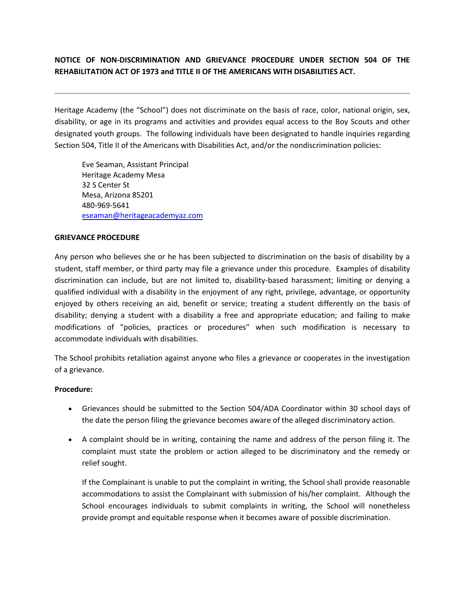## **NOTICE OF NON-DISCRIMINATION AND GRIEVANCE PROCEDURE UNDER SECTION 504 OF THE REHABILITATION ACT OF 1973 and TITLE II OF THE AMERICANS WITH DISABILITIES ACT.**

Heritage Academy (the "School") does not discriminate on the basis of race, color, national origin, sex, disability, or age in its programs and activities and provides equal access to the Boy Scouts and other designated youth groups. The following individuals have been designated to handle inquiries regarding Section 504, Title II of the Americans with Disabilities Act, and/or the nondiscrimination policies:

Eve Seaman, Assistant Principal Heritage Academy Mesa 32 S Center St Mesa, Arizona 85201 480-969-5641 [eseaman@heritageacademyaz.com](mailto:eseaman@heritageacademyaz.com)

## **GRIEVANCE PROCEDURE**

Any person who believes she or he has been subjected to discrimination on the basis of disability by a student, staff member, or third party may file a grievance under this procedure. Examples of disability discrimination can include, but are not limited to, disability-based harassment; limiting or denying a qualified individual with a disability in the enjoyment of any right, privilege, advantage, or opportunity enjoyed by others receiving an aid, benefit or service; treating a student differently on the basis of disability; denying a student with a disability a free and appropriate education; and failing to make modifications of "policies, practices or procedures" when such modification is necessary to accommodate individuals with disabilities.

The School prohibits retaliation against anyone who files a grievance or cooperates in the investigation of a grievance.

## **Procedure:**

- Grievances should be submitted to the Section 504/ADA Coordinator within 30 school days of the date the person filing the grievance becomes aware of the alleged discriminatory action.
- A complaint should be in writing, containing the name and address of the person filing it. The complaint must state the problem or action alleged to be discriminatory and the remedy or relief sought.

If the Complainant is unable to put the complaint in writing, the School shall provide reasonable accommodations to assist the Complainant with submission of his/her complaint. Although the School encourages individuals to submit complaints in writing, the School will nonetheless provide prompt and equitable response when it becomes aware of possible discrimination.